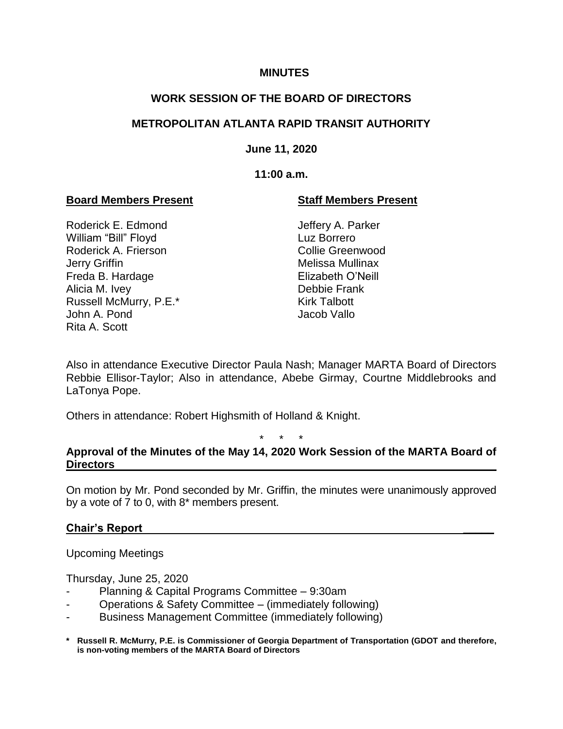### **MINUTES**

# **WORK SESSION OF THE BOARD OF DIRECTORS**

# **METROPOLITAN ATLANTA RAPID TRANSIT AUTHORITY**

## **June 11, 2020**

## **11:00 a.m.**

## **Board Members Present Staff Members Present**

Roderick E. Edmond Jeffery A. Parker William "Bill" Floyd Luz Borrero Roderick A. Frierson **Collie Greenwood** Jerry Griffin **Melissa Mullinax** Freda B. Hardage **Elizabeth O'Neill** Alicia M. Ivey **Debbie Frank** Russell McMurry, P.E.\* Kirk Talbott John A. Pond Jacob Vallo Rita A. Scott

Also in attendance Executive Director Paula Nash; Manager MARTA Board of Directors Rebbie Ellisor-Taylor; Also in attendance, Abebe Girmay, Courtne Middlebrooks and LaTonya Pope.

Others in attendance: Robert Highsmith of Holland & Knight.

\* \* \*

## **Approval of the Minutes of the May 14, 2020 Work Session of the MARTA Board of Directors**

On motion by Mr. Pond seconded by Mr. Griffin, the minutes were unanimously approved by a vote of 7 to 0, with 8\* members present.

## **Chair's Report \_\_\_\_\_**

Upcoming Meetings

Thursday, June 25, 2020

- Planning & Capital Programs Committee 9:30am
- Operations & Safety Committee (immediately following)
- Business Management Committee (immediately following)
- **\* Russell R. McMurry, P.E. is Commissioner of Georgia Department of Transportation (GDOT and therefore, is non-voting members of the MARTA Board of Directors**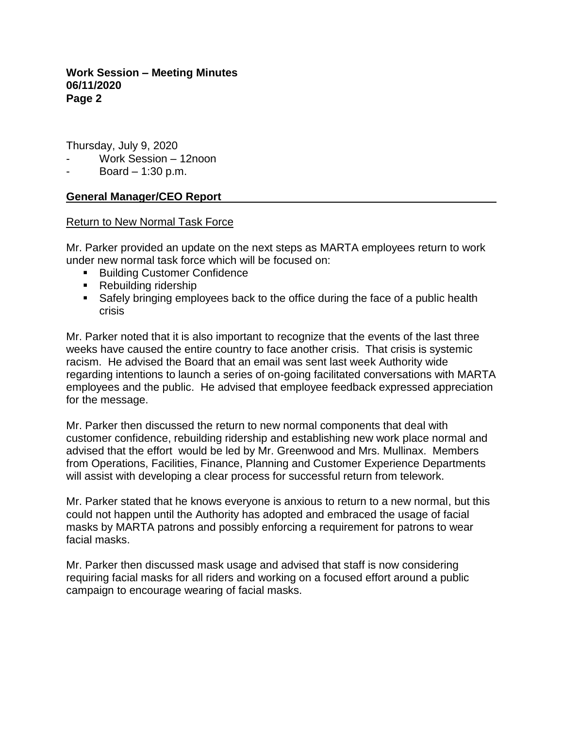**Work Session – Meeting Minutes 06/11/2020 Page 2**

Thursday, July 9, 2020

- Work Session 12noon
- Board 1:30 p.m.

## **General Manager/CEO Report**

#### Return to New Normal Task Force

Mr. Parker provided an update on the next steps as MARTA employees return to work under new normal task force which will be focused on:

- Building Customer Confidence
- Rebuilding ridership
- Safely bringing employees back to the office during the face of a public health crisis

Mr. Parker noted that it is also important to recognize that the events of the last three weeks have caused the entire country to face another crisis. That crisis is systemic racism. He advised the Board that an email was sent last week Authority wide regarding intentions to launch a series of on-going facilitated conversations with MARTA employees and the public. He advised that employee feedback expressed appreciation for the message.

Mr. Parker then discussed the return to new normal components that deal with customer confidence, rebuilding ridership and establishing new work place normal and advised that the effort would be led by Mr. Greenwood and Mrs. Mullinax. Members from Operations, Facilities, Finance, Planning and Customer Experience Departments will assist with developing a clear process for successful return from telework.

Mr. Parker stated that he knows everyone is anxious to return to a new normal, but this could not happen until the Authority has adopted and embraced the usage of facial masks by MARTA patrons and possibly enforcing a requirement for patrons to wear facial masks.

Mr. Parker then discussed mask usage and advised that staff is now considering requiring facial masks for all riders and working on a focused effort around a public campaign to encourage wearing of facial masks.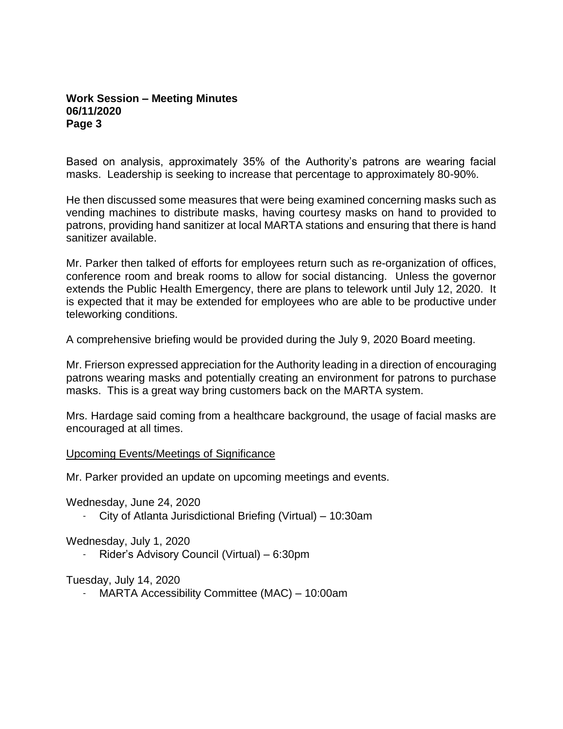### **Work Session – Meeting Minutes 06/11/2020 Page 3**

Based on analysis, approximately 35% of the Authority's patrons are wearing facial masks. Leadership is seeking to increase that percentage to approximately 80-90%.

He then discussed some measures that were being examined concerning masks such as vending machines to distribute masks, having courtesy masks on hand to provided to patrons, providing hand sanitizer at local MARTA stations and ensuring that there is hand sanitizer available.

Mr. Parker then talked of efforts for employees return such as re-organization of offices, conference room and break rooms to allow for social distancing. Unless the governor extends the Public Health Emergency, there are plans to telework until July 12, 2020. It is expected that it may be extended for employees who are able to be productive under teleworking conditions.

A comprehensive briefing would be provided during the July 9, 2020 Board meeting.

Mr. Frierson expressed appreciation for the Authority leading in a direction of encouraging patrons wearing masks and potentially creating an environment for patrons to purchase masks. This is a great way bring customers back on the MARTA system.

Mrs. Hardage said coming from a healthcare background, the usage of facial masks are encouraged at all times.

#### Upcoming Events/Meetings of Significance

Mr. Parker provided an update on upcoming meetings and events.

Wednesday, June 24, 2020

- City of Atlanta Jurisdictional Briefing (Virtual) – 10:30am

Wednesday, July 1, 2020

- Rider's Advisory Council (Virtual) – 6:30pm

Tuesday, July 14, 2020

- MARTA Accessibility Committee (MAC) – 10:00am